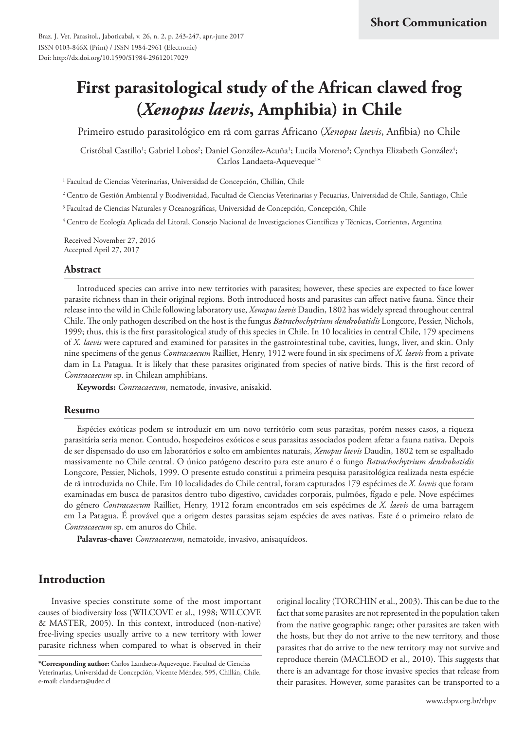# **First parasitological study of the African clawed frog (***Xenopus laevis***, Amphibia) in Chile**

Primeiro estudo parasitológico em rã com garras Africano (*Xenopus laevis*, Anfibia) no Chile

Cristóbal Castillo<sup>1</sup>; Gabriel Lobos<sup>2</sup>; Daniel González-Acuña<sup>1</sup>; Lucila Moreno<sup>3</sup>; Cynthya Elizabeth González<sup>4</sup>; Carlos Landaeta-Aqueveque<sup>1\*</sup>

<sup>1</sup> Facultad de Ciencias Veterinarias, Universidad de Concepción, Chillán, Chile

<sup>2</sup> Centro de Gestión Ambiental y Biodiversidad, Facultad de Ciencias Veterinarias y Pecuarias, Universidad de Chile, Santiago, Chile

<sup>3</sup> Facultad de Ciencias Naturales y Oceanográficas, Universidad de Concepción, Concepción, Chile

<sup>4</sup> Centro de Ecología Aplicada del Litoral, Consejo Nacional de Investigaciones Científicas y Técnicas, Corrientes, Argentina

Received November 27, 2016 Accepted April 27, 2017

#### **Abstract**

Introduced species can arrive into new territories with parasites; however, these species are expected to face lower parasite richness than in their original regions. Both introduced hosts and parasites can affect native fauna. Since their release into the wild in Chile following laboratory use, *Xenopus laevis* Daudin, 1802 has widely spread throughout central Chile. The only pathogen described on the host is the fungus *Batrachochytrium dendrobatidis* Longcore, Pessier, Nichols, 1999; thus, this is the first parasitological study of this species in Chile. In 10 localities in central Chile, 179 specimens of *X. laevis* were captured and examined for parasites in the gastrointestinal tube, cavities, lungs, liver, and skin. Only nine specimens of the genus *Contracaecum* Railliet, Henry, 1912 were found in six specimens of *X. laevis* from a private dam in La Patagua. It is likely that these parasites originated from species of native birds. This is the first record of *Contracaecum* sp. in Chilean amphibians.

**Keywords:** *Contracaecum*, nematode, invasive, anisakid.

### **Resumo**

Espécies exóticas podem se introduzir em um novo território com seus parasitas, porém nesses casos, a riqueza parasitária seria menor. Contudo, hospedeiros exóticos e seus parasitas associados podem afetar a fauna nativa. Depois de ser dispensado do uso em laboratórios e solto em ambientes naturais, *Xenopus laevis* Daudin, 1802 tem se espalhado massivamente no Chile central. O único patógeno descrito para este anuro é o fungo *Batrachochytrium dendrobatidis* Longcore, Pessier, Nichols, 1999. O presente estudo constitui a primeira pesquisa parasitológica realizada nesta espécie de rã introduzida no Chile. Em 10 localidades do Chile central, foram capturados 179 espécimes de *X. laevis* que foram examinadas em busca de parasitos dentro tubo digestivo, cavidades corporais, pulmões, fígado e pele. Nove espécimes do gênero *Contracaecum* Railliet, Henry, 1912 foram encontrados em seis espécimes de *X. laevis* de uma barragem em La Patagua. É provável que a origem destes parasitas sejam espécies de aves nativas. Este é o primeiro relato de *Contracaecum* sp. em anuros do Chile.

**Palavras-chave:** *Contracaecum*, nematoide, invasivo, anisaquídeos.

# **Introduction**

Invasive species constitute some of the most important causes of biodiversity loss (WILCOVE et al., 1998; WILCOVE & MASTER, 2005). In this context, introduced (non-native) free-living species usually arrive to a new territory with lower parasite richness when compared to what is observed in their

original locality (TORCHIN et al., 2003). This can be due to the fact that some parasites are not represented in the population taken from the native geographic range; other parasites are taken with the hosts, but they do not arrive to the new territory, and those parasites that do arrive to the new territory may not survive and reproduce therein (MACLEOD et al., 2010). This suggests that there is an advantage for those invasive species that release from their parasites. However, some parasites can be transported to a

**<sup>\*</sup>Corresponding author:** Carlos Landaeta-Aqueveque. Facultad de Ciencias Veterinarias, Universidad de Concepción, Vicente Méndez, 595, Chillán, Chile. e-mail: clandaeta@udec.cl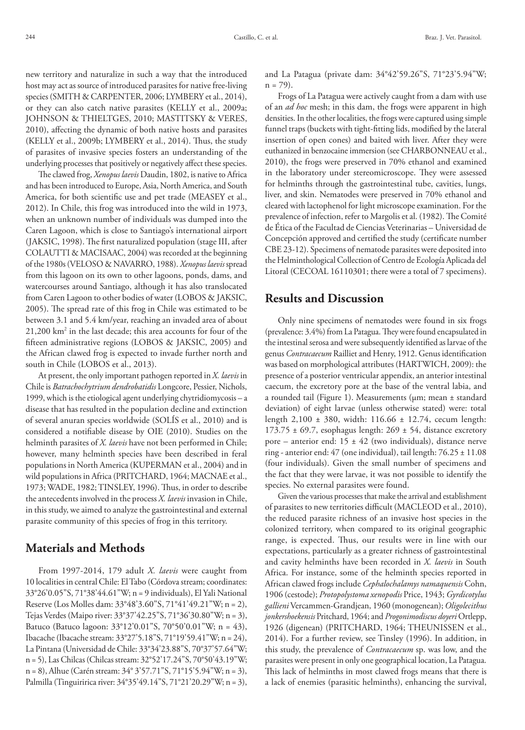new territory and naturalize in such a way that the introduced host may act as source of introduced parasites for native free-living species (SMITH & CARPENTER, 2006; LYMBERY et al., 2014), or they can also catch native parasites (KELLY et al., 2009a; JOHNSON & THIELTGES, 2010; MASTITSKY & VERES, 2010), affecting the dynamic of both native hosts and parasites (KELLY et al., 2009b; LYMBERY et al., 2014). Thus, the study of parasites of invasive species fosters an understanding of the underlying processes that positively or negatively affect these species.

The clawed frog, *Xenopus laevis* Daudin, 1802, is native to Africa and has been introduced to Europe, Asia, North America, and South America, for both scientific use and pet trade (MEASEY et al., 2012). In Chile, this frog was introduced into the wild in 1973, when an unknown number of individuals was dumped into the Caren Lagoon, which is close to Santiago's international airport (JAKSIC, 1998). The first naturalized population (stage III, after COLAUTTI & MACISAAC, 2004) was recorded at the beginning of the 1980s (VELOSO & NAVARRO, 1988). *Xenopus laevis* spread from this lagoon on its own to other lagoons, ponds, dams, and watercourses around Santiago, although it has also translocated from Caren Lagoon to other bodies of water (LOBOS & JAKSIC, 2005). The spread rate of this frog in Chile was estimated to be between 3.1 and 5.4 km/year, reaching an invaded area of about 21,200 km2 in the last decade; this area accounts for four of the fifteen administrative regions (LOBOS & JAKSIC, 2005) and the African clawed frog is expected to invade further north and south in Chile (LOBOS et al., 2013).

At present, the only important pathogen reported in *X. laevis* in Chile is *Batrachochytrium dendrobatidis* Longcore, Pessier, Nichols, 1999, which is the etiological agent underlying chytridiomycosis – a disease that has resulted in the population decline and extinction of several anuran species worldwide (SOLÍS et al., 2010) and is considered a notifiable disease by OIE (2010). Studies on the helminth parasites of *X. laevis* have not been performed in Chile; however, many helminth species have been described in feral populations in North America (KUPERMAN et al., 2004) and in wild populations in Africa (PRITCHARD, 1964; MACNAE et al., 1973; WADE, 1982; TINSLEY, 1996). Thus, in order to describe the antecedents involved in the process *X. laevis* invasion in Chile, in this study, we aimed to analyze the gastrointestinal and external parasite community of this species of frog in this territory.

# **Materials and Methods**

From 1997-2014, 179 adult *X. laevis* were caught from 10 localities in central Chile: El Tabo (Córdova stream; coordinates: 33°26'0.05"S, 71°38'44.61"W; n = 9 individuals), El Yali National Reserve (Los Molles dam: 33°48'3.60"S, 71°41'49.21"W; n = 2), Tejas Verdes (Maipo river: 33°37'42.25"S, 71°36'30.80"W; n = 3), Batuco (Batuco lagoon: 33°12'0.01"S, 70°50'0.01"W; n = 43), Ibacache (Ibacache stream: 33°27'5.18"S, 71°19'59.41"W; n = 24), La Pintana (Universidad de Chile: 33°34'23.88"S, 70°37'57.64"W; n = 5), Las Chilcas (Chilcas stream: 32°52'17.24"S, 70°50'43.19"W; n = 8), Alhue (Carén stream: 34° 3'57.71"S, 71°15'5.94"W; n = 3), Palmilla (Tinguiririca river: 34°35'49.14"S, 71°21'20.29"W; n = 3), and La Patagua (private dam: 34°42'59.26"S, 71°23'5.94"W;  $n = 79$ ).

Frogs of La Patagua were actively caught from a dam with use of an *ad hoc* mesh; in this dam, the frogs were apparent in high densities. In the other localities, the frogs were captured using simple funnel traps (buckets with tight-fitting lids, modified by the lateral insertion of open cones) and baited with liver. After they were euthanized in benzocaine immersion (see CHARBONNEAU et al., 2010), the frogs were preserved in 70% ethanol and examined in the laboratory under stereomicroscope. They were assessed for helminths through the gastrointestinal tube, cavities, lungs, liver, and skin. Nematodes were preserved in 70% ethanol and cleared with lactophenol for light microscope examination. For the prevalence of infection, refer to Margolis et al. (1982). The Comité de Ética of the Facultad de Ciencias Veterinarias – Universidad de Concepción approved and certified the study (certificate number CBE 23‐12). Specimens of nematode parasites were deposited into the Helminthological Collection of Centro de Ecología Aplicada del Litoral (CECOAL 16110301; there were a total of 7 specimens).

# **Results and Discussion**

Only nine specimens of nematodes were found in six frogs (prevalence: 3.4%) from La Patagua. They were found encapsulated in the intestinal serosa and were subsequently identified as larvae of the genus *Contracaecum* Railliet and Henry, 1912. Genus identification was based on morphological attributes (HARTWICH, 2009): the presence of a posterior ventricular appendix, an anterior intestinal caecum, the excretory pore at the base of the ventral labia, and a rounded tail (Figure 1). Measurements (µm; mean ± standard deviation) of eight larvae (unless otherwise stated) were: total length 2,100 ± 380, width: 116.66 ± 12.74, cecum length: 173.75  $\pm$  69.7, esophagus length: 269  $\pm$  54, distance excretory pore – anterior end:  $15 \pm 42$  (two individuals), distance nerve ring - anterior end: 47 (one individual), tail length: 76.25 ± 11.08 (four individuals). Given the small number of specimens and the fact that they were larvae, it was not possible to identify the species. No external parasites were found.

Given the various processes that make the arrival and establishment of parasites to new territories difficult (MACLEOD et al., 2010), the reduced parasite richness of an invasive host species in the colonized territory, when compared to its original geographic range, is expected. Thus, our results were in line with our expectations, particularly as a greater richness of gastrointestinal and cavity helminths have been recorded in *X. laevis* in South Africa. For instance, some of the helminth species reported in African clawed frogs include *Cephalochalamys namaquensis* Cohn, 1906 (cestode); *Protopolystoma xenopodis* Price, 1943; *Gyrdicotylus gallieni* Vercammen-Grandjean, 1960 (monogenean); *Oligolecithus jonkershoekensis* Pritchard, 1964; and *Progonimodiscus doyeri* Ortlepp, 1926 (digenean) (PRITCHARD, 1964; THEUNISSEN et al., 2014). For a further review, see Tinsley (1996). In addition, in this study, the prevalence of *Contracaecum* sp. was low, and the parasites were present in only one geographical location, La Patagua. This lack of helminths in most clawed frogs means that there is a lack of enemies (parasitic helminths), enhancing the survival,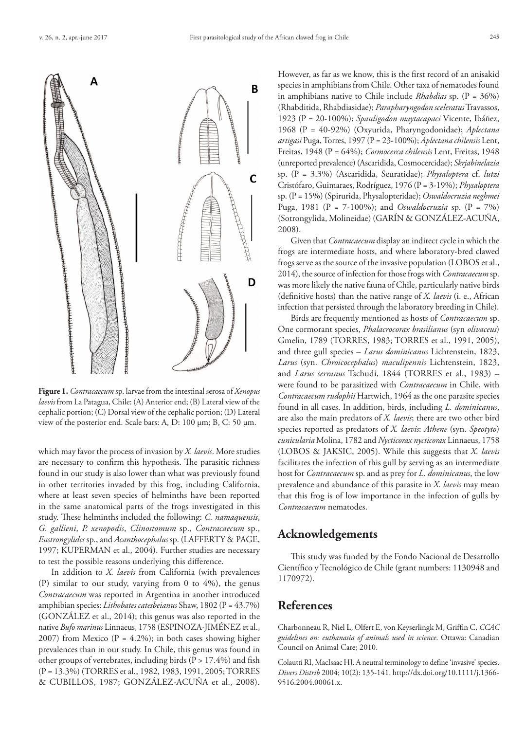

**Figure 1.** *Contracaecum* sp. larvae from the intestinal serosa of *Xenopus laevis* from La Patagua, Chile: (A) Anterior end; (B) Lateral view of the cephalic portion; (C) Dorsal view of the cephalic portion; (D) Lateral view of the posterior end. Scale bars: A, D: 100 µm; B, C: 50 µm.

which may favor the process of invasion by *X. laevis*. More studies are necessary to confirm this hypothesis. The parasitic richness found in our study is also lower than what was previously found in other territories invaded by this frog, including California, where at least seven species of helminths have been reported in the same anatomical parts of the frogs investigated in this study. These helminths included the following: *C. namaquensis*, *G. gallieni*, *P. xenopodis*, *Clinostomum* sp., *Contracaecum* sp., *Eustrongylides* sp., and *Acanthocephalus* sp. (LAFFERTY & PAGE, 1997; KUPERMAN et al., 2004). Further studies are necessary to test the possible reasons underlying this difference.

In addition to *X. laevis* from California (with prevalences (P) similar to our study, varying from 0 to 4%), the genus *Contracaecum* was reported in Argentina in another introduced amphibian species: *Lithobates catesbeianus* Shaw, 1802 (P = 43.7%) (GONZÁLEZ et al., 2014); this genus was also reported in the native *Bufo marinus* Linnaeus, 1758 (ESPINOZA-JIMÉNEZ et al., 2007) from Mexico ( $P = 4.2\%$ ); in both cases showing higher prevalences than in our study. In Chile, this genus was found in other groups of vertebrates, including birds  $(P > 17.4\%)$  and fish (P = 13.3%) (TORRES et al., 1982, 1983, 1991, 2005; TORRES & CUBILLOS, 1987; GONZÁLEZ-ACUÑA et al., 2008).

However, as far as we know, this is the first record of an anisakid species in amphibians from Chile. Other taxa of nematodes found in amphibians native to Chile include *Rhabdias* sp. (P = 36%) (Rhabditida, Rhabdiasidae); *Parapharyngodon sceleratus* Travassos, 1923 (P = 20-100%); *Spauligodon maytacapaci* Vicente, Ibáñez, 1968 (P = 40-92%) (Oxyurida, Pharyngodonidae); *Aplectana artigasi* Puga, Torres, 1997 (P = 23-100%); *Aplectana chilensis* Lent, Freitas, 1948 (P = 64%); *Cosmocerca chilensis* Lent, Freitas, 1948 (unreported prevalence) (Ascaridida, Cosmocercidae); *Skrjabinelazia* sp. (P = 3.3%) (Ascaridida, Seuratidae); *Physaloptera* cf. *lutzi* Cristófaro, Guimaraes, Rodríguez, 1976 (P = 3-19%); *Physaloptera* sp. (P = 15%) (Spirurida, Physalopteridae); *Oswaldocruzia neghmei* Puga, 1981 (P = 7-100%); and *Oswaldocruzia* sp. (P = 7%) (Sotrongylida, Molineidae) (GARÍN & GONZÁLEZ-ACUÑA, 2008).

Given that *Contracaecum* display an indirect cycle in which the frogs are intermediate hosts, and where laboratory-bred clawed frogs serve as the source of the invasive population (LOBOS et al., 2014), the source of infection for those frogs with *Contracaecum* sp. was more likely the native fauna of Chile, particularly native birds (definitive hosts) than the native range of *X. laevis* (i. e., African infection that persisted through the laboratory breeding in Chile).

Birds are frequently mentioned as hosts of *Contracaecum* sp. One cormorant species, *Phalacrocorax brasilianus* (syn *olivaceus*) Gmelin, 1789 (TORRES, 1983; TORRES et al., 1991, 2005), and three gull species – *Larus dominicanus* Lichtenstein, 1823, *Larus* (syn. *Chroicocephalus*) *maculipennis* Lichtenstein, 1823, and *Larus serranus* Tschudi, 1844 (TORRES et al., 1983) – were found to be parasitized with *Contracaecum* in Chile, with *Contracaecum rudophii* Hartwich, 1964 as the one parasite species found in all cases. In addition, birds, including *L. dominicanus*, are also the main predators of *X. laevis*; there are two other bird species reported as predators of *X. laevis*: *Athene* (syn. *Speotyto*) *cunicularia* Molina, 1782 and *Nycticorax nycticorax* Linnaeus, 1758 (LOBOS & JAKSIC, 2005). While this suggests that *X. laevis* facilitates the infection of this gull by serving as an intermediate host for *Contracaecum* sp. and as prey for *L. dominicanus*, the low prevalence and abundance of this parasite in *X. laevis* may mean that this frog is of low importance in the infection of gulls by *Contracaecum* nematodes.

## **Acknowledgements**

This study was funded by the Fondo Nacional de Desarrollo Científico y Tecnológico de Chile (grant numbers: 1130948 and 1170972).

# **References**

Charbonneau R, Niel L, Olfert E, von Keyserlingk M, Griffin C. *CCAC guidelines on: euthanasia of animals used in science*. Ottawa: Canadian Council on Animal Care; 2010.

Colautti RI, MacIsaac HJ. A neutral terminology to define 'invasive' species. *Divers Distrib* 2004; 10(2): 135-141. [http://dx.doi.org/10.1111/j.1366-](http://dx.doi.org/10.1111/j.1366-9516.2004.00061.x) [9516.2004.00061.x.](http://dx.doi.org/10.1111/j.1366-9516.2004.00061.x)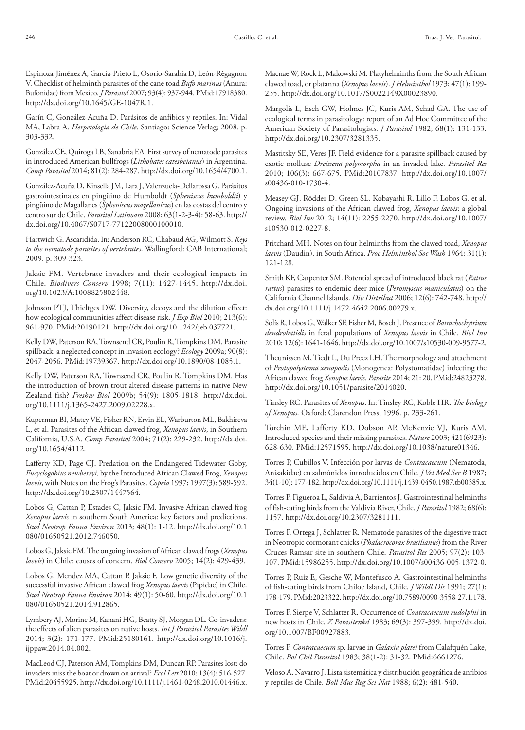Espinoza-Jiménez A, García-Prieto L, Osorio-Sarabia D, León-Règagnon V. Checklist of helminth parasites of the cane toad *Bufo marinus* (Anura: Bufonidae) from Mexico. *J Parasitol* 2007; 93(4): 937-944[. PMid:17918380.](http://www.ncbi.nlm.nih.gov/entrez/query.fcgi?cmd=Retrieve&db=PubMed&list_uids=17918380&dopt=Abstract) <http://dx.doi.org/10.1645/GE-1047R.1>.

Garín C, González-Acuña D. Parásitos de anfibios y reptiles. In: Vidal MA, Labra A. *Herpetologia de Chile*. Santiago: Science Verlag; 2008. p. 303-332.

González CE, Quiroga LB, Sanabria EA. First survey of nematode parasites in introduced American bullfrogs (*Lithobates catesbeianus*) in Argentina. *Comp Parasitol* 2014; 81(2): 284-287.<http://dx.doi.org/10.1654/4700.1>.

González-Acuña D, Kinsella JM, Lara J, Valenzuela-Dellarossa G. Parásitos gastrointestinales en pingüino de Humboldt (*Spheniscus humboldti*) y pingüino de Magallanes (*Spheniscus magellanicus*) en las costas del centro y centro sur de Chile. *Parasitol Latinoam* 2008; 63(1-2-3-4): 58-63. [http://](http://dx.doi.org/10.4067/S0717-77122008000100010) [dx.doi.org/10.4067/S0717-77122008000100010.](http://dx.doi.org/10.4067/S0717-77122008000100010)

Hartwich G. Ascaridida. In: Anderson RC, Chabaud AG, Wilmott S. *Keys to the nematode parasites of vertebrates*. Wallingford: CAB International; 2009. p. 309-323.

Jaksic FM. Vertebrate invaders and their ecological impacts in Chile. *Biodivers Conserv* 1998; 7(11): 1427-1445. [http://dx.doi.](http://dx.doi.org/10.1023/A:1008825802448) [org/10.1023/A:1008825802448](http://dx.doi.org/10.1023/A:1008825802448).

Johnson PTJ, Thieltges DW. Diversity, decoys and the dilution effect: how ecological communities affect disease risk. *J Exp Biol* 2010; 213(6): 961-970[. PMid:20190121.](http://www.ncbi.nlm.nih.gov/entrez/query.fcgi?cmd=Retrieve&db=PubMed&list_uids=20190121&dopt=Abstract) <http://dx.doi.org/10.1242/jeb.037721>.

Kelly DW, Paterson RA, Townsend CR, Poulin R, Tompkins DM. Parasite spillback: a neglected concept in invasion ecology? *Ecology* 2009a; 90(8): 2047-2056[. PMid:19739367.](http://www.ncbi.nlm.nih.gov/entrez/query.fcgi?cmd=Retrieve&db=PubMed&list_uids=19739367&dopt=Abstract) [http://dx.doi.org/10.1890/08-1085.1.](http://dx.doi.org/10.1890/08-1085.1)

Kelly DW, Paterson RA, Townsend CR, Poulin R, Tompkins DM. Has the introduction of brown trout altered disease patterns in native New Zealand fish? *Freshw Biol* 2009b; 54(9): 1805-1818. [http://dx.doi.](http://dx.doi.org/10.1111/j.1365-2427.2009.02228.x) [org/10.1111/j.1365-2427.2009.02228.x](http://dx.doi.org/10.1111/j.1365-2427.2009.02228.x).

Kuperman BI, Matey VE, Fisher RN, Ervin EL, Warburton ML, Bakhireva L, et al. Parasites of the African clawed frog, *Xenopus laevis*, in Southern California, U.S.A. *Comp Parasitol* 2004; 71(2): 229-232. [http://dx.doi.](http://dx.doi.org/10.1654/4112) [org/10.1654/4112.](http://dx.doi.org/10.1654/4112)

Lafferty KD, Page CJ. Predation on the Endangered Tidewater Goby, *Eucyclogobius newberryi*, by the Introduced African Clawed Frog, *Xenopus laevis*, with Notes on the Frog's Parasites. *Copeia* 1997; 1997(3): 589-592. <http://dx.doi.org/10.2307/1447564>.

Lobos G, Cattan P, Estades C, Jaksic FM. Invasive African clawed frog *Xenopus laevis* in southern South America: key factors and predictions. *Stud Neotrop Fauna Environ* 2013; 48(1): 1-12. [http://dx.doi.org/10.1](http://dx.doi.org/10.1080/01650521.2012.746050) [080/01650521.2012.746050](http://dx.doi.org/10.1080/01650521.2012.746050).

Lobos G, Jaksic FM. The ongoing invasion of African clawed frogs (*Xenopus laevis*) in Chile: causes of concern. *Biol Conserv* 2005; 14(2): 429-439.

Lobos G, Mendez MA, Cattan P, Jaksic F. Low genetic diversity of the successful invasive African clawed frog *Xenopus laevis* (Pipidae) in Chile. *Stud Neotrop Fauna Environ* 2014; 49(1): 50-60. [http://dx.doi.org/10.1](http://dx.doi.org/10.1080/01650521.2014.912865) [080/01650521.2014.912865](http://dx.doi.org/10.1080/01650521.2014.912865).

Lymbery AJ, Morine M, Kanani HG, Beatty SJ, Morgan DL. Co-invaders: the effects of alien parasites on native hosts. *Int J Parasitol Parasites Wildl* 2014; 3(2): 171-177. [PMid:25180161.](http://www.ncbi.nlm.nih.gov/entrez/query.fcgi?cmd=Retrieve&db=PubMed&list_uids=25180161&dopt=Abstract) [http://dx.doi.org/10.1016/j.](http://dx.doi.org/10.1016/j.ijppaw.2014.04.002) [ijppaw.2014.04.002](http://dx.doi.org/10.1016/j.ijppaw.2014.04.002).

MacLeod CJ, Paterson AM, Tompkins DM, Duncan RP. Parasites lost: do invaders miss the boat or drown on arrival? *Ecol Lett* 2010; 13(4): 516-527. [PMid:20455925.](http://www.ncbi.nlm.nih.gov/entrez/query.fcgi?cmd=Retrieve&db=PubMed&list_uids=20455925&dopt=Abstract) <http://dx.doi.org/10.1111/j.1461-0248.2010.01446.x>.

Macnae W, Rock L, Makowski M. Platyhelminths from the South African clawed toad, or platanna (*Xenopus laevis*). *J Helminthol* 1973; 47(1): 199- 235. [http://dx.doi.org/10.1017/S0022149X00023890.](http://dx.doi.org/10.1017/S0022149X00023890)

Margolis L, Esch GW, Holmes JC, Kuris AM, Schad GA. The use of ecological terms in parasitology: report of an Ad Hoc Committee of the American Society of Parasitologists. *J Parasitol* 1982; 68(1): 131-133. <http://dx.doi.org/10.2307/3281335>.

Mastitsky SE, Veres JF. Field evidence for a parasite spillback caused by exotic mollusc *Dreissena polymorpha* in an invaded lake. *Parasitol Res* 2010; 106(3): 667-675[. PMid:20107837.](http://www.ncbi.nlm.nih.gov/entrez/query.fcgi?cmd=Retrieve&db=PubMed&list_uids=20107837&dopt=Abstract) [http://dx.doi.org/10.1007/](http://dx.doi.org/10.1007/s00436-010-1730-4) [s00436-010-1730-4](http://dx.doi.org/10.1007/s00436-010-1730-4).

Measey GJ, Rödder D, Green SL, Kobayashi R, Lillo F, Lobos G, et al. Ongoing invasions of the African clawed frog, *Xenopus laevis*: a global review. *Biol Inv* 2012; 14(11): 2255-2270. [http://dx.doi.org/10.1007/](http://dx.doi.org/10.1007/s10530-012-0227-8) [s10530-012-0227-8](http://dx.doi.org/10.1007/s10530-012-0227-8).

Pritchard MH. Notes on four helminths from the clawed toad, *Xenopus laevis* (Daudin), in South Africa. *Proc Helminthol Soc Wash* 1964; 31(1): 121-128.

Smith KF, Carpenter SM. Potential spread of introduced black rat (*Rattus rattus*) parasites to endemic deer mice (*Peromyscus maniculatus*) on the California Channel Islands. *Div Distribut* 2006; 12(6): 742-748. [http://](http://dx.doi.org/10.1111/j.1472-4642.2006.00279.x) [dx.doi.org/10.1111/j.1472-4642.2006.00279.x.](http://dx.doi.org/10.1111/j.1472-4642.2006.00279.x)

Solís R, Lobos G, Walker SF, Fisher M, Bosch J. Presence of *Batrachochytrium dendrobatidis* in feral populations of *Xenopus laevis* in Chile. *Biol Inv* 2010; 12(6): 1641-1646.<http://dx.doi.org/10.1007/s10530-009-9577-2>.

Theunissen M, Tiedt L, Du Preez LH. The morphology and attachment of *Protopolystoma xenopodis* (Monogenea: Polystomatidae) infecting the African clawed frog *Xenopus laevis. Parasite* 2014; 21: 20. [PMid:24823278.](http://www.ncbi.nlm.nih.gov/entrez/query.fcgi?cmd=Retrieve&db=PubMed&list_uids=24823278&dopt=Abstract) [http://dx.doi.org/10.1051/parasite/2014020.](http://dx.doi.org/10.1051/parasite/2014020)

Tinsley RC. Parasites of *Xenopus*. In: Tinsley RC, Koble HR. *The biology of Xenopus*. Oxford: Clarendon Press; 1996. p. 233-261.

Torchin ME, Lafferty KD, Dobson AP, McKenzie VJ, Kuris AM. Introduced species and their missing parasites. *Nature* 2003; 421(6923): 628-630. [PMid:12571595.](http://www.ncbi.nlm.nih.gov/entrez/query.fcgi?cmd=Retrieve&db=PubMed&list_uids=12571595&dopt=Abstract) [http://dx.doi.org/10.1038/nature01346.](http://dx.doi.org/10.1038/nature01346)

Torres P, Cubillos V. Infección por larvas de *Contracaecum* (Nematoda, Anisakidae) en salmónidos introducidos en Chile. *J Vet Med Ser B* 1987; 34(1-10): 177-182.<http://dx.doi.org/10.1111/j.1439-0450.1987.tb00385.x>.

Torres P, Figueroa L, Saldivia A, Barrientos J. Gastrointestinal helminths of fish-eating birds from the Valdivia River, Chile. *J Parasitol* 1982; 68(6): 1157. [http://dx.doi.org/10.2307/3281111.](http://dx.doi.org/10.2307/3281111)

Torres P, Ortega J, Schlatter R. Nematode parasites of the digestive tract in Neotropic cormorant chicks (*Phalacrocorax brasilianus*) from the River Cruces Ramsar site in southern Chile. *Parasitol Res* 2005; 97(2): 103- 107[. PMid:15986255.](http://www.ncbi.nlm.nih.gov/entrez/query.fcgi?cmd=Retrieve&db=PubMed&list_uids=15986255&dopt=Abstract) <http://dx.doi.org/10.1007/s00436-005-1372-0>.

Torres P, Ruíz E, Gesche W, Montefusco A. Gastrointestinal helminths of fish-eating birds from Chiloe Island, Chile. *J Wildl Dis* 1991; 27(1): 178-179. [PMid:2023322.](http://www.ncbi.nlm.nih.gov/entrez/query.fcgi?cmd=Retrieve&db=PubMed&list_uids=2023322&dopt=Abstract) <http://dx.doi.org/10.7589/0090-3558-27.1.178>.

Torres P, Sierpe V, Schlatter R. Occurrence of *Contracaecum rudolphii* in new hosts in Chile. *Z Parasitenkd* 1983; 69(3): 397-399. [http://dx.doi.](http://dx.doi.org/10.1007/BF00927883) [org/10.1007/BF00927883](http://dx.doi.org/10.1007/BF00927883).

Torres P. *Contracaecum* sp. larvae in *Galaxia platei* from Calafquén Lake, Chile. *Bol Chil Parasitol* 1983; 38(1-2): 31-32. [PMid:6661276.](http://www.ncbi.nlm.nih.gov/entrez/query.fcgi?cmd=Retrieve&db=PubMed&list_uids=6661276&dopt=Abstract)

Veloso A, Navarro J. Lista sistemática y distribución geográfica de anfibios y reptiles de Chile. *Boll Mus Reg Sci Nat* 1988; 6(2): 481-540.